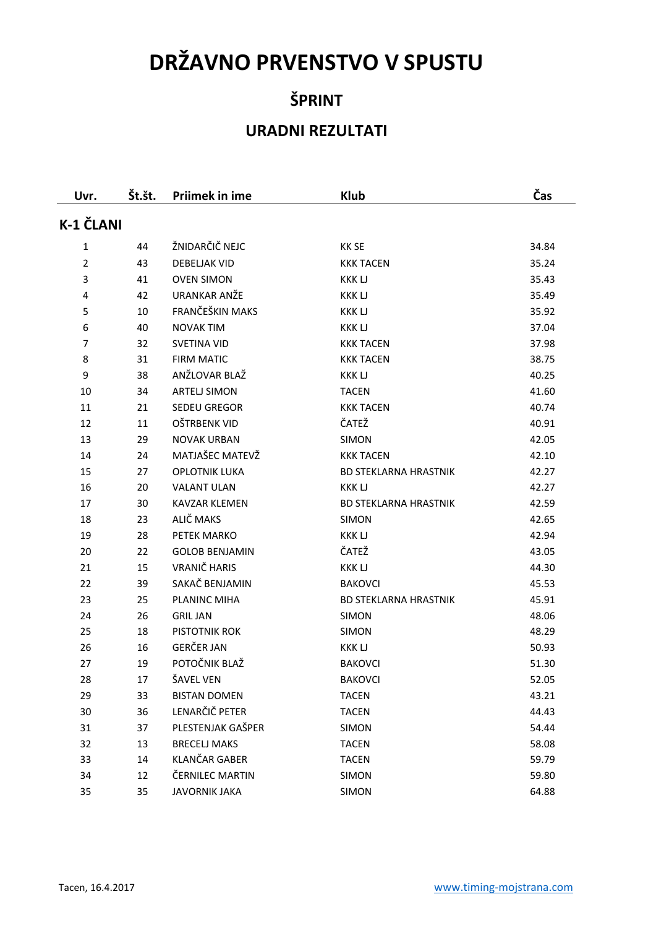# **DRŽAVNO PRVENSTVO V SPUSTU**

## **ŠPRINT**

## **URADNI REZULTATI**

| Uvr.             | Št.št. | <b>Priimek in ime</b> | <b>Klub</b>                  | Čas   |
|------------------|--------|-----------------------|------------------------------|-------|
| <b>K-1 ČLANI</b> |        |                       |                              |       |
| 1                | 44     | ŽNIDARČIČ NEJC        | <b>KK SE</b>                 | 34.84 |
| $\overline{2}$   | 43     | <b>DEBELIAK VID</b>   | <b>KKK TACEN</b>             | 35.24 |
| 3                | 41     | <b>OVEN SIMON</b>     | <b>KKKLJ</b>                 | 35.43 |
| 4                | 42     | <b>URANKAR ANŽE</b>   | <b>KKKLJ</b>                 | 35.49 |
| 5                | 10     | FRANČEŠKIN MAKS       | <b>KKKLJ</b>                 | 35.92 |
| 6                | 40     | <b>NOVAK TIM</b>      | <b>KKKLJ</b>                 | 37.04 |
| 7                | 32     | <b>SVETINA VID</b>    | <b>KKK TACEN</b>             | 37.98 |
| 8                | 31     | <b>FIRM MATIC</b>     | <b>KKK TACEN</b>             | 38.75 |
| 9                | 38     | ANŽLOVAR BLAŽ         | <b>KKKLJ</b>                 | 40.25 |
| 10               | 34     | <b>ARTELJ SIMON</b>   | <b>TACEN</b>                 | 41.60 |
| 11               | 21     | <b>SEDEU GREGOR</b>   | <b>KKK TACEN</b>             | 40.74 |
| 12               | 11     | OŠTRBENK VID          | ČATEŽ                        | 40.91 |
| 13               | 29     | <b>NOVAK URBAN</b>    | <b>SIMON</b>                 | 42.05 |
| 14               | 24     | MATJAŠEC MATEVŽ       | <b>KKK TACEN</b>             | 42.10 |
| 15               | 27     | <b>OPLOTNIK LUKA</b>  | <b>BD STEKLARNA HRASTNIK</b> | 42.27 |
| 16               | 20     | <b>VALANT ULAN</b>    | <b>KKKLJ</b>                 | 42.27 |
| 17               | 30     | <b>KAVZAR KLEMEN</b>  | <b>BD STEKLARNA HRASTNIK</b> | 42.59 |
| 18               | 23     | ALIČ MAKS             | SIMON                        | 42.65 |
| 19               | 28     | PETEK MARKO           | <b>KKK LJ</b>                | 42.94 |
| 20               | 22     | <b>GOLOB BENJAMIN</b> | ČATEŽ                        | 43.05 |
| 21               | 15     | VRANIČ HARIS          | <b>KKKLJ</b>                 | 44.30 |
| 22               | 39     | SAKAČ BENJAMIN        | <b>BAKOVCI</b>               | 45.53 |
| 23               | 25     | PLANINC MIHA          | <b>BD STEKLARNA HRASTNIK</b> | 45.91 |
| 24               | 26     | <b>GRIL JAN</b>       | SIMON                        | 48.06 |
| 25               | 18     | PISTOTNIK ROK         | <b>SIMON</b>                 | 48.29 |
| 26               | 16     | <b>GERČER JAN</b>     | <b>KKK LJ</b>                | 50.93 |
| 27               | 19     | POTOČNIK BLAŽ         | <b>BAKOVCI</b>               | 51.30 |
| 28               | 17     | ŠAVEL VEN             | <b>BAKOVCI</b>               | 52.05 |
| 29               | 33     | <b>BISTAN DOMEN</b>   | <b>TACEN</b>                 | 43.21 |
| 30               | 36     | LENARČIČ PETER        | <b>TACEN</b>                 | 44.43 |
| 31               | 37     | PLESTENJAK GAŠPER     | <b>SIMON</b>                 | 54.44 |
| 32               | 13     | <b>BRECELJ MAKS</b>   | <b>TACEN</b>                 | 58.08 |
| 33               | 14     | <b>KLANČAR GABER</b>  | <b>TACEN</b>                 | 59.79 |
| 34               | 12     | ČERNILEC MARTIN       | <b>SIMON</b>                 | 59.80 |
| 35               | 35     | <b>JAVORNIK JAKA</b>  | <b>SIMON</b>                 | 64.88 |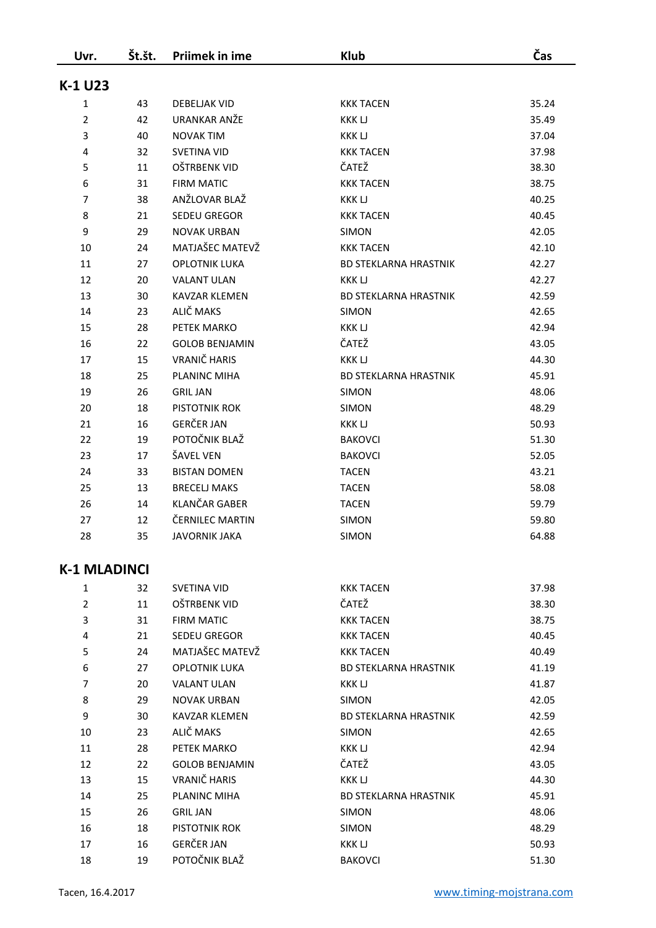| Uvr.                | Št.št. | <b>Priimek in ime</b> | <b>Klub</b>                  | Čas   |
|---------------------|--------|-----------------------|------------------------------|-------|
| K-1 U23             |        |                       |                              |       |
| 1                   | 43     | <b>DEBELIAK VID</b>   | <b>KKK TACEN</b>             | 35.24 |
| $\overline{2}$      | 42     | URANKAR ANŽE          | KKK LJ                       | 35.49 |
| 3                   | 40     | <b>NOVAK TIM</b>      | <b>KKKLJ</b>                 | 37.04 |
| 4                   | 32     | <b>SVETINA VID</b>    | <b>KKK TACEN</b>             | 37.98 |
| 5                   | 11     | <b>OŠTRBENK VID</b>   | ČATEŽ                        | 38.30 |
| 6                   | 31     | <b>FIRM MATIC</b>     | <b>KKK TACEN</b>             | 38.75 |
| $\overline{7}$      | 38     | ANŽLOVAR BLAŽ         | <b>KKKLJ</b>                 | 40.25 |
| 8                   | 21     | <b>SEDEU GREGOR</b>   | <b>KKK TACEN</b>             | 40.45 |
| 9                   | 29     | <b>NOVAK URBAN</b>    | SIMON                        | 42.05 |
| 10                  | 24     | MATJAŠEC MATEVŽ       | <b>KKK TACEN</b>             | 42.10 |
| 11                  | 27     | <b>OPLOTNIK LUKA</b>  | <b>BD STEKLARNA HRASTNIK</b> | 42.27 |
| 12                  | 20     | <b>VALANT ULAN</b>    | <b>KKKLJ</b>                 | 42.27 |
| 13                  | 30     | <b>KAVZAR KLEMEN</b>  | <b>BD STEKLARNA HRASTNIK</b> | 42.59 |
| 14                  | 23     | ALIČ MAKS             | <b>SIMON</b>                 | 42.65 |
| 15                  | 28     | PETEK MARKO           | <b>KKK LJ</b>                | 42.94 |
| 16                  | 22     | <b>GOLOB BENJAMIN</b> | ČATEŽ                        | 43.05 |
| 17                  | 15     | VRANIČ HARIS          | <b>KKKLJ</b>                 | 44.30 |
| 18                  | 25     | PLANINC MIHA          | <b>BD STEKLARNA HRASTNIK</b> | 45.91 |
| 19                  | 26     | <b>GRIL JAN</b>       | SIMON                        | 48.06 |
| 20                  | 18     | PISTOTNIK ROK         | <b>SIMON</b>                 | 48.29 |
| 21                  | 16     | <b>GERČER JAN</b>     | <b>KKK LJ</b>                | 50.93 |
| 22                  | 19     | POTOČNIK BLAŽ         | <b>BAKOVCI</b>               | 51.30 |
| 23                  | 17     | ŠAVEL VEN             | <b>BAKOVCI</b>               | 52.05 |
| 24                  | 33     | <b>BISTAN DOMEN</b>   | <b>TACEN</b>                 | 43.21 |
| 25                  | 13     | <b>BRECELJ MAKS</b>   | <b>TACEN</b>                 | 58.08 |
| 26                  | 14     | <b>KLANČAR GABER</b>  | <b>TACEN</b>                 | 59.79 |
| 27                  | 12     | ČERNILEC MARTIN       | SIMON                        | 59.80 |
| 28                  | 35     | <b>JAVORNIK JAKA</b>  | <b>SIMON</b>                 | 64.88 |
| <b>K-1 MLADINCI</b> |        |                       |                              |       |
| 1                   | 32     | SVETINA VID           | KKK TACEN                    | 37.98 |
| $\overline{2}$      | 11     | OŠTRBENK VID          | ČATEŽ                        | 38.30 |
| 3                   | 31     | <b>FIRM MATIC</b>     | <b>KKK TACEN</b>             | 38.75 |
| 4                   | 21     | <b>SEDEU GREGOR</b>   | KKK TACEN                    | 40.45 |
| 5                   | 24     | MATJAŠEC MATEVŽ       | KKK TACEN                    | 40.49 |
| 6                   | 27     | <b>OPLOTNIK LUKA</b>  | <b>BD STEKLARNA HRASTNIK</b> | 41.19 |
| 7                   | 20     | <b>VALANT ULAN</b>    | KKK LJ                       | 41.87 |
| 8                   | 29     | <b>NOVAK URBAN</b>    | SIMON                        | 42.05 |
|                     |        |                       |                              |       |

| ັ  | <u> 27</u> | UL LUTININ LUNA       | <u>UU JILINLAININ IIINAJIIIIN</u> | ユエ・エン |
|----|------------|-----------------------|-----------------------------------|-------|
| 7  | 20         | <b>VALANT ULAN</b>    | <b>KKK LJ</b>                     | 41.87 |
| 8  | 29         | <b>NOVAK URBAN</b>    | <b>SIMON</b>                      | 42.05 |
| 9  | 30         | <b>KAVZAR KLEMEN</b>  | <b>BD STEKLARNA HRASTNIK</b>      | 42.59 |
| 10 | 23         | ALIČ MAKS             | <b>SIMON</b>                      | 42.65 |
| 11 | 28         | PETEK MARKO           | <b>KKK LJ</b>                     | 42.94 |
| 12 | 22         | <b>GOLOB BENJAMIN</b> | ČATEŽ                             | 43.05 |
| 13 | 15         | VRANIČ HARIS          | KKK LJ                            | 44.30 |
| 14 | 25         | PLANINC MIHA          | <b>BD STEKLARNA HRASTNIK</b>      | 45.91 |
| 15 | 26         | <b>GRIL JAN</b>       | <b>SIMON</b>                      | 48.06 |
| 16 | 18         | PISTOTNIK ROK         | <b>SIMON</b>                      | 48.29 |
| 17 | 16         | <b>GERČER JAN</b>     | KKK LJ                            | 50.93 |
| 18 | 19         | POTOČNIK BLAŽ         | <b>BAKOVCI</b>                    | 51.30 |
|    |            |                       |                                   |       |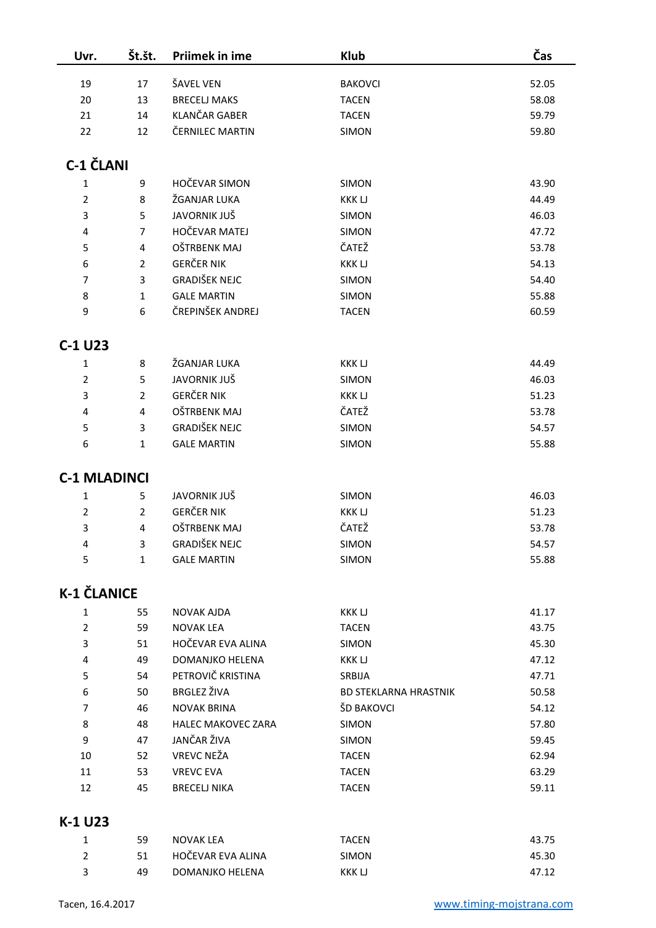| Uvr.                | Št.št.         | Priimek in ime                       | <b>Klub</b>                  | Čas   |
|---------------------|----------------|--------------------------------------|------------------------------|-------|
| 19                  | 17             | ŠAVEL VEN                            | <b>BAKOVCI</b>               | 52.05 |
| 20                  | 13             | <b>BRECELJ MAKS</b><br><b>TACEN</b>  |                              | 58.08 |
| 21                  | 14             | <b>KLANČAR GABER</b><br><b>TACEN</b> |                              | 59.79 |
| 22                  | 12             | ČERNILEC MARTIN                      | <b>SIMON</b>                 | 59.80 |
|                     |                |                                      |                              |       |
| <b>C-1 ČLANI</b>    |                |                                      |                              |       |
| $\mathbf 1$         | 9              | <b>HOČEVAR SIMON</b>                 | SIMON                        | 43.90 |
| $\overline{2}$      | 8              | ŽGANJAR LUKA                         | <b>KKKLJ</b>                 | 44.49 |
| 3                   | 5              | JAVORNIK JUŠ                         | SIMON                        | 46.03 |
| 4                   | $\overline{7}$ | HOČEVAR MATEJ                        | SIMON                        | 47.72 |
| 5                   | 4              | OŠTRBENK MAJ                         | ČATEŽ                        | 53.78 |
| 6                   | $\overline{2}$ | <b>GERČER NIK</b>                    | <b>KKKLJ</b>                 | 54.13 |
| $\overline{7}$      | 3              | <b>GRADIŠEK NEJC</b>                 | SIMON                        | 54.40 |
| 8                   | 1              | <b>GALE MARTIN</b>                   | SIMON                        | 55.88 |
| 9                   | 6              | ČREPINŠEK ANDREJ                     | <b>TACEN</b>                 | 60.59 |
|                     |                |                                      |                              |       |
| C-1 U23             |                |                                      |                              |       |
| $\mathbf 1$         | 8              | ŽGANJAR LUKA                         | <b>KKK LJ</b>                | 44.49 |
| $\overline{2}$      | 5              | <b>JAVORNIK JUŠ</b>                  | <b>SIMON</b>                 | 46.03 |
| 3                   | $\overline{2}$ | <b>GERČER NIK</b>                    | <b>KKK LJ</b>                | 51.23 |
| 4                   | 4              | OŠTRBENK MAJ                         | ČATEŽ                        | 53.78 |
| 5                   | 3              | <b>GRADIŠEK NEJC</b>                 | SIMON                        | 54.57 |
| 6                   | 1              | <b>GALE MARTIN</b>                   | SIMON                        | 55.88 |
|                     |                |                                      |                              |       |
| <b>C-1 MLADINCI</b> |                |                                      |                              |       |
| 1                   | 5              | <b>JAVORNIK JUŠ</b>                  | SIMON                        | 46.03 |
| $\overline{2}$      | $\overline{2}$ | <b>GERČER NIK</b>                    | <b>KKKLJ</b>                 | 51.23 |
| 3                   | 4              | OŠTRBENK MAJ                         | ČATEŽ                        | 53.78 |
| 4                   | 3              | <b>GRADIŠEK NEJC</b>                 | <b>SIMON</b>                 | 54.57 |
| 5                   | $\mathbf{1}$   | <b>GALE MARTIN</b>                   | SIMON                        | 55.88 |
| <b>K-1 ČLANICE</b>  |                |                                      |                              |       |
| $\mathbf{1}$        | 55             | <b>NOVAK AJDA</b>                    | <b>KKK LJ</b>                | 41.17 |
| $\overline{2}$      | 59             | <b>NOVAK LEA</b>                     | <b>TACEN</b>                 | 43.75 |
| 3                   | 51             | HOČEVAR EVA ALINA                    | SIMON                        | 45.30 |
| 4                   | 49             | DOMANJKO HELENA                      | <b>KKK LJ</b>                | 47.12 |
| 5                   | 54             | PETROVIČ KRISTINA                    | SRBIJA                       | 47.71 |
| 6                   | 50             | <b>BRGLEZ ŽIVA</b>                   | <b>BD STEKLARNA HRASTNIK</b> | 50.58 |
| 7                   | 46             | <b>NOVAK BRINA</b>                   | ŠD BAKOVCI                   | 54.12 |
| 8                   | 48             | <b>HALEC MAKOVEC ZARA</b>            | <b>SIMON</b>                 | 57.80 |
| 9                   | 47             | JANČAR ŽIVA                          | <b>SIMON</b>                 | 59.45 |
| 10                  | 52             | <b>VREVC NEŽA</b>                    | <b>TACEN</b>                 | 62.94 |
| 11                  | 53             | <b>VREVC EVA</b>                     | <b>TACEN</b>                 | 63.29 |
| 12                  | 45             | <b>BRECELJ NIKA</b>                  | <b>TACEN</b>                 | 59.11 |
| K-1 U23             |                |                                      |                              |       |

| 59  | NOVAK LEA         | TACEN        | 43.75 |
|-----|-------------------|--------------|-------|
| 51  | HOČEVAR EVA ALINA | <b>SIMON</b> | 45.30 |
| 49. | DOMANJKO HELENA   | KKK LJ       | 47.12 |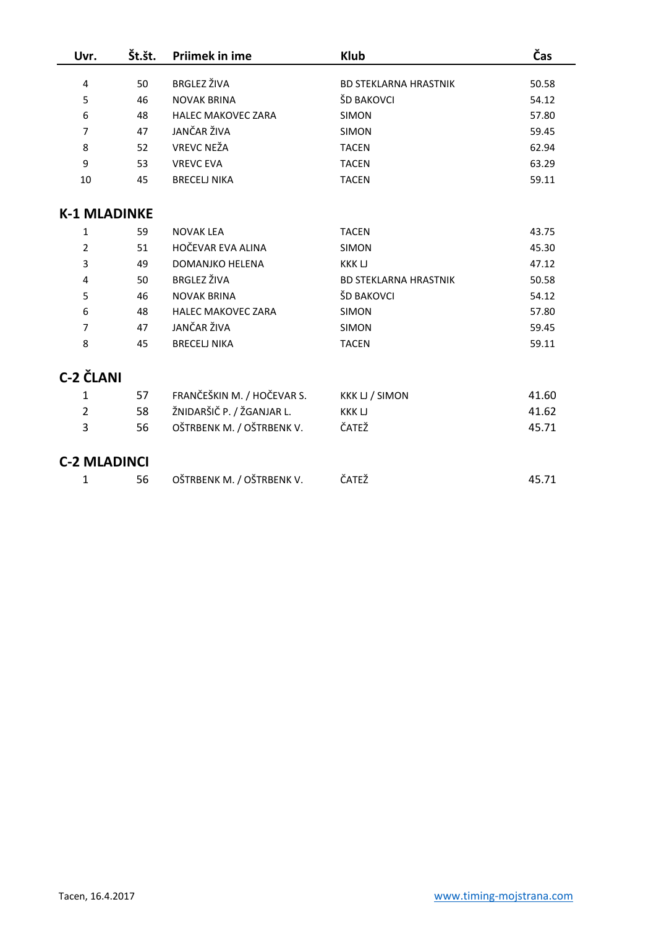| Uvr.                | Št.št. | Priimek in ime             | <b>Klub</b>                  | Čas   |
|---------------------|--------|----------------------------|------------------------------|-------|
|                     |        | <b>BRGLEZ ŽIVA</b>         |                              |       |
| 4                   | 50     |                            | <b>BD STEKLARNA HRASTNIK</b> | 50.58 |
| 5                   | 46     | <b>NOVAK BRINA</b>         | ŠD BAKOVCI                   | 54.12 |
| 6                   | 48     | <b>HALEC MAKOVEC ZARA</b>  | <b>SIMON</b>                 | 57.80 |
| 7                   | 47     | JANČAR ŽIVA                | <b>SIMON</b>                 | 59.45 |
| 8                   | 52     | <b>VREVC NEŽA</b>          | <b>TACEN</b>                 | 62.94 |
| 9                   | 53     | <b>VREVC EVA</b>           | <b>TACEN</b>                 | 63.29 |
| 10                  | 45     | <b>BRECELJ NIKA</b>        | <b>TACEN</b>                 | 59.11 |
| <b>K-1 MLADINKE</b> |        |                            |                              |       |
| 1                   | 59     | <b>NOVAK LEA</b>           | <b>TACEN</b>                 | 43.75 |
| $\overline{2}$      | 51     | HOČEVAR EVA ALINA          | <b>SIMON</b>                 | 45.30 |
| 3                   | 49     | DOMANJKO HELENA            | <b>KKK LJ</b>                | 47.12 |
| 4                   | 50     | <b>BRGLEZ ŽIVA</b>         | <b>BD STEKLARNA HRASTNIK</b> | 50.58 |
| 5                   | 46     | <b>NOVAK BRINA</b>         | ŠD BAKOVCI                   | 54.12 |
| 6                   | 48     | <b>HALEC MAKOVEC ZARA</b>  | <b>SIMON</b>                 | 57.80 |
| $\overline{7}$      | 47     | JANČAR ŽIVA                | <b>SIMON</b>                 | 59.45 |
| 8                   | 45     | <b>BRECELJ NIKA</b>        | <b>TACEN</b>                 | 59.11 |
| <b>C-2 ČLANI</b>    |        |                            |                              |       |
| 1                   | 57     | FRANČEŠKIN M. / HOČEVAR S. | <b>KKK LJ / SIMON</b>        | 41.60 |
| $\overline{2}$      | 58     | ŽNIDARŠIČ P. / ŽGANJAR L.  | <b>KKKLJ</b>                 | 41.62 |
| 3                   | 56     | OŠTRBENK M. / OŠTRBENK V.  | ČATEŽ                        | 45.71 |
| <b>C-2 MLADINCI</b> |        |                            |                              |       |
| 1                   | 56     | OŠTRBENK M. / OŠTRBENK V.  | ČATEŽ                        | 45.71 |